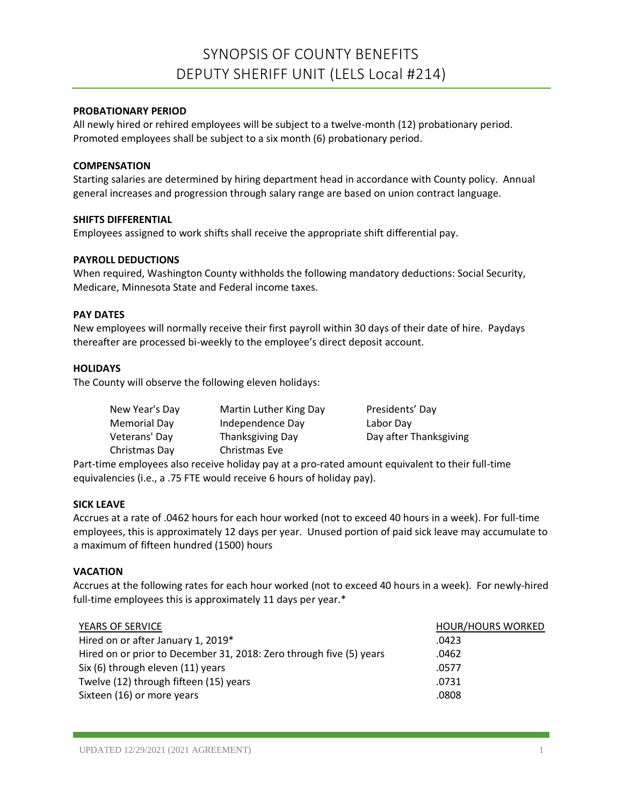# SYNOPSIS OF COUNTY BENEFITS DEPUTY SHERIFF UNIT (LELS Local #214)

## **PROBATIONARY PERIOD**

All newly hired or rehired employees will be subject to a twelve-month (12) probationary period. Promoted employees shall be subject to a six month (6) probationary period.

## **COMPENSATION**

Starting salaries are determined by hiring department head in accordance with County policy. Annual general increases and progression through salary range are based on union contract language.

## **SHIFTS DIFFERENTIAL**

Employees assigned to work shifts shall receive the appropriate shift differential pay.

## **PAYROLL DEDUCTIONS**

When required, Washington County withholds the following mandatory deductions: Social Security, Medicare, Minnesota State and Federal income taxes.

## **PAY DATES**

New employees will normally receive their first payroll within 30 days of their date of hire. Paydays thereafter are processed bi-weekly to the employee's direct deposit account.

## **HOLIDAYS**

The County will observe the following eleven holidays:

| New Year's Day | Martin Luther King Day | Presidents' Day        |
|----------------|------------------------|------------------------|
| Memorial Day   | Independence Day       | Labor Day              |
| Veterans' Day  | Thanksgiving Day       | Day after Thanksgiving |
| Christmas Day  | Christmas Eve          |                        |

Part-time employees also receive holiday pay at a pro-rated amount equivalent to their full-time equivalencies (i.e., a .75 FTE would receive 6 hours of holiday pay).

## **SICK LEAVE**

Accrues at a rate of .0462 hours for each hour worked (not to exceed 40 hours in a week). For full-time employees, this is approximately 12 days per year. Unused portion of paid sick leave may accumulate to a maximum of fifteen hundred (1500) hours

# **VACATION**

Accrues at the following rates for each hour worked (not to exceed 40 hours in a week). For newly-hired full-time employees this is approximately 11 days per year.\*

| YEARS OF SERVICE                                                    | <b>HOUR/HOURS WORKED</b> |
|---------------------------------------------------------------------|--------------------------|
| Hired on or after January 1, 2019*                                  | .0423                    |
| Hired on or prior to December 31, 2018: Zero through five (5) years | .0462                    |
| Six (6) through eleven (11) years                                   | .0577                    |
| Twelve (12) through fifteen (15) years                              | .0731                    |
| Sixteen (16) or more years                                          | .0808                    |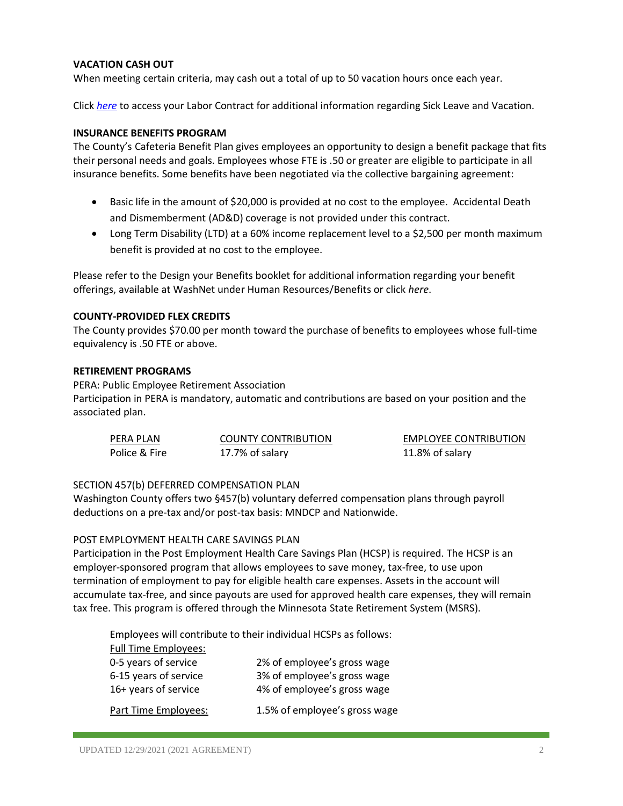# **VACATION CASH OUT**

When meeting certain criteria, may cash out a total of up to 50 vacation hours once each year.

Click *[here](https://washnet.co.washington.mn.us/depts/hr/labagre/IntraCon/LELS%20Deputy%20Sheriff%20Contract.pdf)* to access your Labor Contract for additional information regarding Sick Leave and Vacation.

## **INSURANCE BENEFITS PROGRAM**

The County's Cafeteria Benefit Plan gives employees an opportunity to design a benefit package that fits their personal needs and goals. Employees whose FTE is .50 or greater are eligible to participate in all insurance benefits. Some benefits have been negotiated via the collective bargaining agreement:

- Basic life in the amount of \$20,000 is provided at no cost to the employee. Accidental Death and Dismemberment (AD&D) coverage is not provided under this contract.
- Long Term Disability (LTD) at a 60% income replacement level to a \$2,500 per month maximum benefit is provided at no cost to the employee.

Please refer to the Design your Benefits booklet for additional information regarding your benefit offerings, available at WashNet under Human Resources/Benefits or click *here*.

## **COUNTY-PROVIDED FLEX CREDITS**

The County provides \$70.00 per month toward the purchase of benefits to employees whose full-time equivalency is .50 FTE or above.

## **RETIREMENT PROGRAMS**

PERA: Public Employee Retirement Association

Participation in PERA is mandatory, automatic and contributions are based on your position and the associated plan.

| PERA PLAN     | <b>COUNTY CONTRIBUTION</b> | <b>EMPLOYEE CONTRIBUTION</b> |
|---------------|----------------------------|------------------------------|
| Police & Fire | 17.7% of salary            | 11.8% of salary              |

## SECTION 457(b) DEFERRED COMPENSATION PLAN

Washington County offers two §457(b) voluntary deferred compensation plans through payroll deductions on a pre-tax and/or post-tax basis: MNDCP and Nationwide.

## POST EMPLOYMENT HEALTH CARE SAVINGS PLAN

Participation in the Post Employment Health Care Savings Plan (HCSP) is required. The HCSP is an employer-sponsored program that allows employees to save money, tax-free, to use upon termination of employment to pay for eligible health care expenses. Assets in the account will accumulate tax-free, and since payouts are used for approved health care expenses, they will remain tax free. This program is offered through the Minnesota State Retirement System (MSRS).

Employees will contribute to their individual HCSPs as follows:

| <b>Full Time Employees:</b> |                               |
|-----------------------------|-------------------------------|
| 0-5 years of service        | 2% of employee's gross wage   |
| 6-15 years of service       | 3% of employee's gross wage   |
| 16+ years of service        | 4% of employee's gross wage   |
|                             |                               |
| Part Time Employees:        | 1.5% of employee's gross wage |